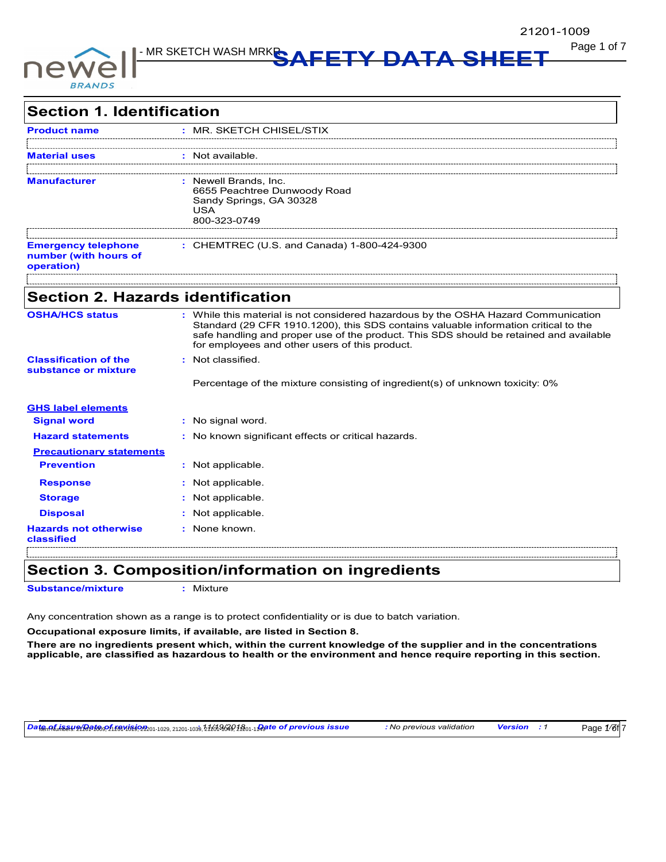

Page 1 of 7 MSDS for #21201 - MR SKETCH WASH MRKR **SAFETY DATA SHEET**

| <b>Section 1. Identification</b>           |                                                                                                                                                                                                                                                                                                                       |
|--------------------------------------------|-----------------------------------------------------------------------------------------------------------------------------------------------------------------------------------------------------------------------------------------------------------------------------------------------------------------------|
| <b>Product name</b>                        | : MR. SKETCH CHISEL/STIX                                                                                                                                                                                                                                                                                              |
|                                            |                                                                                                                                                                                                                                                                                                                       |
| <b>Material uses</b>                       | : Not available.                                                                                                                                                                                                                                                                                                      |
|                                            |                                                                                                                                                                                                                                                                                                                       |
| <b>Manufacturer</b>                        | : Newell Brands, Inc.<br>6655 Peachtree Dunwoody Road                                                                                                                                                                                                                                                                 |
|                                            | Sandy Springs, GA 30328                                                                                                                                                                                                                                                                                               |
|                                            | USA<br>800-323-0749                                                                                                                                                                                                                                                                                                   |
|                                            |                                                                                                                                                                                                                                                                                                                       |
| <b>Emergency telephone</b>                 | : CHEMTREC (U.S. and Canada) 1-800-424-9300                                                                                                                                                                                                                                                                           |
| number (with hours of<br>operation)        |                                                                                                                                                                                                                                                                                                                       |
|                                            |                                                                                                                                                                                                                                                                                                                       |
|                                            |                                                                                                                                                                                                                                                                                                                       |
| <b>Section 2. Hazards identification</b>   |                                                                                                                                                                                                                                                                                                                       |
| <b>OSHA/HCS status</b>                     | : While this material is not considered hazardous by the OSHA Hazard Communication<br>Standard (29 CFR 1910.1200), this SDS contains valuable information critical to the<br>safe handling and proper use of the product. This SDS should be retained and available<br>for employees and other users of this product. |
| <b>Classification of the</b>               | : Not classified.                                                                                                                                                                                                                                                                                                     |
| substance or mixture                       |                                                                                                                                                                                                                                                                                                                       |
|                                            | Percentage of the mixture consisting of ingredient(s) of unknown toxicity: 0%                                                                                                                                                                                                                                         |
| <b>GHS label elements</b>                  |                                                                                                                                                                                                                                                                                                                       |
| <b>Signal word</b>                         | : No signal word.                                                                                                                                                                                                                                                                                                     |
| <b>Hazard statements</b>                   | : No known significant effects or critical hazards.                                                                                                                                                                                                                                                                   |
| <b>Precautionary statements</b>            |                                                                                                                                                                                                                                                                                                                       |
| <b>Prevention</b>                          | : Not applicable.                                                                                                                                                                                                                                                                                                     |
| <b>Response</b>                            | : Not applicable.                                                                                                                                                                                                                                                                                                     |
| <b>Storage</b>                             | Not applicable.                                                                                                                                                                                                                                                                                                       |
| <b>Disposal</b>                            | Not applicable.                                                                                                                                                                                                                                                                                                       |
| <b>Hazards not otherwise</b><br>classified | : None known.                                                                                                                                                                                                                                                                                                         |

**Section 3. Composition/information on ingredients**

**Substance/mixture :** Mixture

Any concentration shown as a range is to protect confidentiality or is due to batch variation.

**Occupational exposure limits, if available, are listed in Section 8.**

**There are no ingredients present which, within the current knowledge of the supplier and in the concentrations applicable, are classified as hazardous to health or the environment and hence require reporting in this section.**

<mark>Dafeസിക്കുഴേശിക്കുള്ള കാര്യങ്ങളും</mark> 2020-1029, 21201-1039, 21201-1039, 21201-1039, 21201-10<mark>3</mark>9, 2010 Payte of previous issue : No previous validation Version : 1 Page 1/8f 7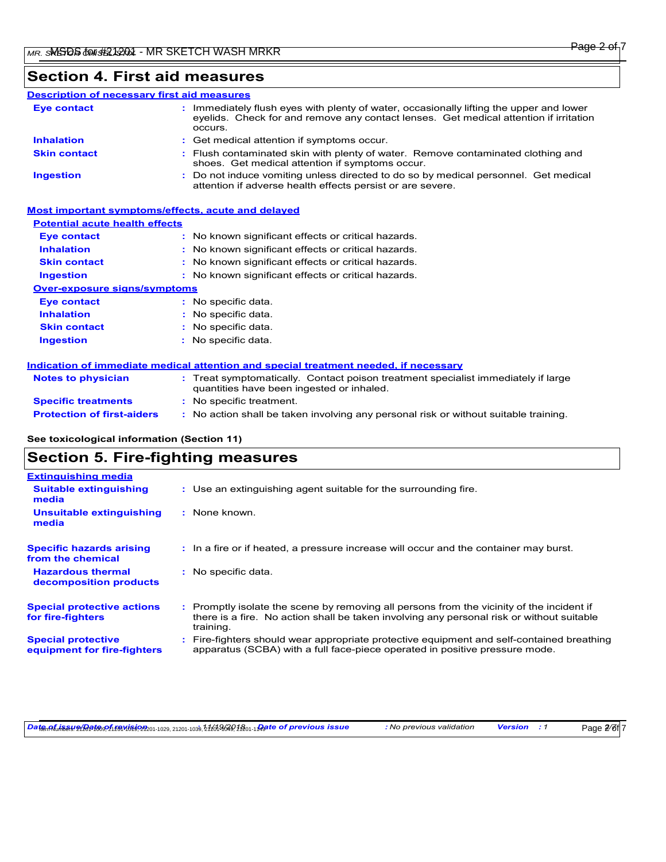# **Section 4. First aid measures**

#### Do not induce vomiting unless directed to do so by medical personnel. Get medical attention if adverse health effects persist or are severe. **:** Immediately flush eyes with plenty of water, occasionally lifting the upper and lower eyelids. Check for and remove any contact lenses. Get medical attention if irritation occurs. Flush contaminated skin with plenty of water. Remove contaminated clothing and **:** shoes. Get medical attention if symptoms occur. Get medical attention if symptoms occur. **: Eye contact Skin contact Inhalation Ingestion : Description of necessary first aid measures**

## **Most important symptoms/effects, acute and delayed**

## **Potential acute health effects**

| <b>Eve contact</b>                  | : No known significant effects or critical hazards. |
|-------------------------------------|-----------------------------------------------------|
| <b>Inhalation</b>                   | : No known significant effects or critical hazards. |
| <b>Skin contact</b>                 | : No known significant effects or critical hazards. |
| <b>Ingestion</b>                    | : No known significant effects or critical hazards. |
| <b>Over-exposure signs/symptoms</b> |                                                     |
| <b>Eye contact</b>                  | : No specific data.                                 |
| <b>Inhalation</b>                   | : No specific data.                                 |
| <b>Skin contact</b>                 | : No specific data.                                 |
| <b>Ingestion</b>                    | : No specific data.                                 |
|                                     |                                                     |

### **Indication of immediate medical attention and special treatment needed, if necessary**

| <b>Notes to physician</b>         | : Treat symptomatically. Contact poison treatment specialist immediately if large<br>quantities have been ingested or inhaled. |
|-----------------------------------|--------------------------------------------------------------------------------------------------------------------------------|
| <b>Specific treatments</b>        | : No specific treatment.                                                                                                       |
| <b>Protection of first-aiders</b> | No action shall be taken involving any personal risk or without suitable training.                                             |

## **See toxicological information (Section 11)**

## **Section 5. Fire-fighting measures**

| <b>Extinguishing media</b>                               |                                                                                                                                                                                                     |
|----------------------------------------------------------|-----------------------------------------------------------------------------------------------------------------------------------------------------------------------------------------------------|
| <b>Suitable extinguishing</b><br>media                   | : Use an extinguishing agent suitable for the surrounding fire.                                                                                                                                     |
| Unsuitable extinguishing<br>media                        | : None known.                                                                                                                                                                                       |
| <b>Specific hazards arising</b><br>from the chemical     | : In a fire or if heated, a pressure increase will occur and the container may burst.                                                                                                               |
| <b>Hazardous thermal</b><br>decomposition products       | : No specific data.                                                                                                                                                                                 |
| <b>Special protective actions</b><br>for fire-fighters   | : Promptly isolate the scene by removing all persons from the vicinity of the incident if<br>there is a fire. No action shall be taken involving any personal risk or without suitable<br>training. |
| <b>Special protective</b><br>equipment for fire-fighters | Fire-fighters should wear appropriate protective equipment and self-contained breathing<br>apparatus (SCBA) with a full face-piece operated in positive pressure mode.                              |

Date multinesundertoghtering the state of previous issue : No previous validation Version : 1

Page 2<sup>/</sup>6f 7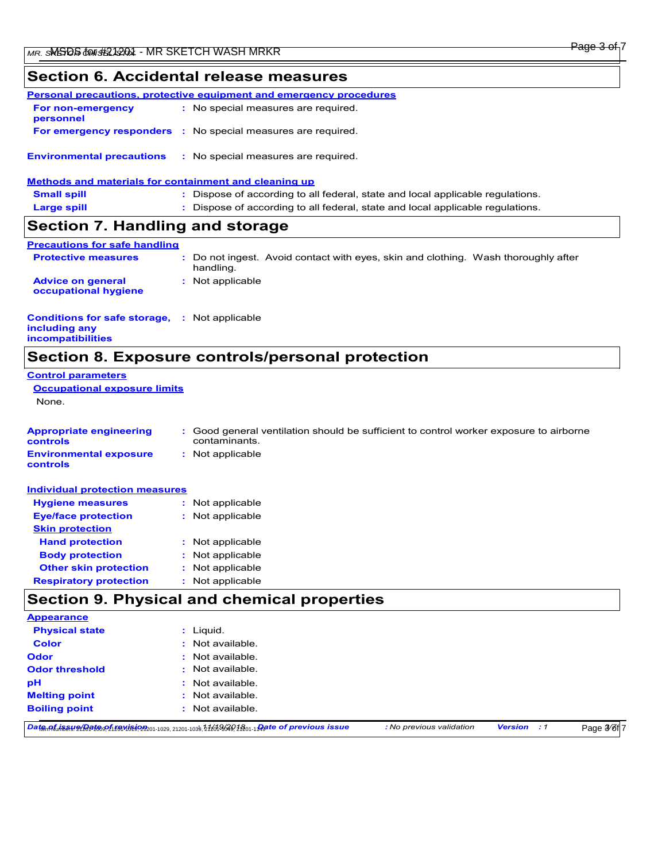# **Section 6. Accidental release measures**

|                                                       | <b>Personal precautions, protective equipment and emergency procedures</b>     |
|-------------------------------------------------------|--------------------------------------------------------------------------------|
| For non-emergency<br>personnel                        | : No special measures are required.                                            |
|                                                       | <b>For emergency responders :</b> No special measures are required.            |
| <b>Environmental precautions</b>                      | : No special measures are required.                                            |
| Methods and materials for containment and cleaning up |                                                                                |
| <b>Small spill</b>                                    | : Dispose of according to all federal, state and local applicable regulations. |
| <b>Large spill</b>                                    | : Dispose of according to all federal, state and local applicable regulations. |
| Section 7. Handling and storage                       |                                                                                |
| <b>Precautions for safe handling</b>                  |                                                                                |

| <u>, recautions ior sale handing</u>             |                                                                                                 |
|--------------------------------------------------|-------------------------------------------------------------------------------------------------|
| <b>Protective measures</b>                       | : Do not ingest. Avoid contact with eyes, skin and clothing. Wash thoroughly after<br>handling. |
| <b>Advice on general</b><br>occupational hygiene | : Not applicable                                                                                |

#### **Conditions for safe storage, : Not applicable including any incompatibilities**

# **Section 8. Exposure controls/personal protection**

| <b>Control parameters</b>                  |                                                                                                         |
|--------------------------------------------|---------------------------------------------------------------------------------------------------------|
| <b>Occupational exposure limits</b>        |                                                                                                         |
| None.                                      |                                                                                                         |
|                                            |                                                                                                         |
| <b>Appropriate engineering</b><br>controls | : Good general ventilation should be sufficient to control worker exposure to airborne<br>contaminants. |
| <b>Environmental exposure</b><br>controls  | : Not applicable                                                                                        |
| <b>Individual protection measures</b>      |                                                                                                         |
| <b>Hygiene measures</b>                    | : Not applicable                                                                                        |
| <b>Eye/face protection</b>                 | : Not applicable                                                                                        |
| <b>Skin protection</b>                     |                                                                                                         |
| <b>Hand protection</b>                     | : Not applicable                                                                                        |

| $\cdots$                      |                  |
|-------------------------------|------------------|
| <b>Body protection</b>        | : Not applicable |
| <b>Other skin protection</b>  | : Not applicable |
| <b>Respiratory protection</b> | : Not applicable |

# **Section 9. Physical and chemical properties**

| рH<br><b>Melting point</b> | : Not available.<br>$:$ Not available. |
|----------------------------|----------------------------------------|
| <b>Odor threshold</b>      | $:$ Not available.                     |
| <b>Odor</b>                | $:$ Not available.                     |
| <b>Color</b>               | $:$ Not available.                     |
| <b>Physical state</b>      | $:$ Liquid.                            |

Date Minesun Mersion : 1

Page 3<sup>/</sup>6f 7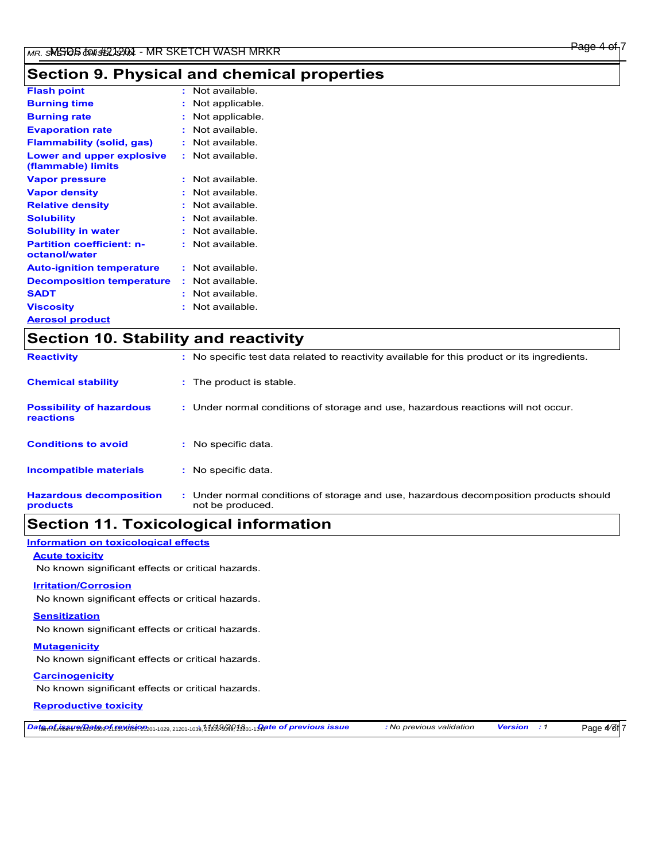# **Section 9. Physical and chemical properties**

| <b>Flash point</b>                                |   | Not available.  |
|---------------------------------------------------|---|-----------------|
| <b>Burning time</b>                               |   | Not applicable. |
| <b>Burning rate</b>                               |   | Not applicable. |
| <b>Evaporation rate</b>                           |   | Not available.  |
| <b>Flammability (solid, gas)</b>                  |   | Not available   |
| Lower and upper explosive<br>(flammable) limits   |   | Not available   |
| <b>Vapor pressure</b>                             | ÷ | Not available.  |
| <b>Vapor density</b>                              |   | Not available.  |
| <b>Relative density</b>                           |   | Not available   |
| <b>Solubility</b>                                 |   | Not available   |
| <b>Solubility in water</b>                        | ÷ | Not available.  |
| <b>Partition coefficient: n-</b><br>octanol/water |   | Not available   |
| <b>Auto-ignition temperature</b>                  | ÷ | Not available.  |
| <b>Decomposition temperature</b>                  | ÷ | Not available.  |
| <b>SADT</b>                                       | ٠ | Not available.  |
| <b>Viscosity</b>                                  | t | Not available.  |
| <b>Aerosol product</b>                            |   |                 |

| <b>Section 10. Stability and reactivity</b>  |                                                                                                           |  |
|----------------------------------------------|-----------------------------------------------------------------------------------------------------------|--|
| <b>Reactivity</b>                            | : No specific test data related to reactivity available for this product or its ingredients.              |  |
| <b>Chemical stability</b>                    | : The product is stable.                                                                                  |  |
| <b>Possibility of hazardous</b><br>reactions | : Under normal conditions of storage and use, hazardous reactions will not occur.                         |  |
| <b>Conditions to avoid</b>                   | : No specific data.                                                                                       |  |
| <b>Incompatible materials</b>                | : No specific data.                                                                                       |  |
| <b>Hazardous decomposition</b><br>products   | : Under normal conditions of storage and use, hazardous decomposition products should<br>not be produced. |  |

# **Section 11. Toxicological information**

## **Information on toxicological effects**

### **Acute toxicity**

No known significant effects or critical hazards.

### **Irritation/Corrosion**

No known significant effects or critical hazards.

### **Sensitization**

No known significant effects or critical hazards.

## **Mutagenicity**

No known significant effects or critical hazards.

## **Carcinogenicity**

No known significant effects or critical hazards.

## **Reproductive toxicity**

DatemAfulinesundBatesonfight@Afgothtoxy21201-1039,21201-1039,21201-1039,21201-1Agte of previous issue : No previous validation Version : 1

Page  $4/6f$  7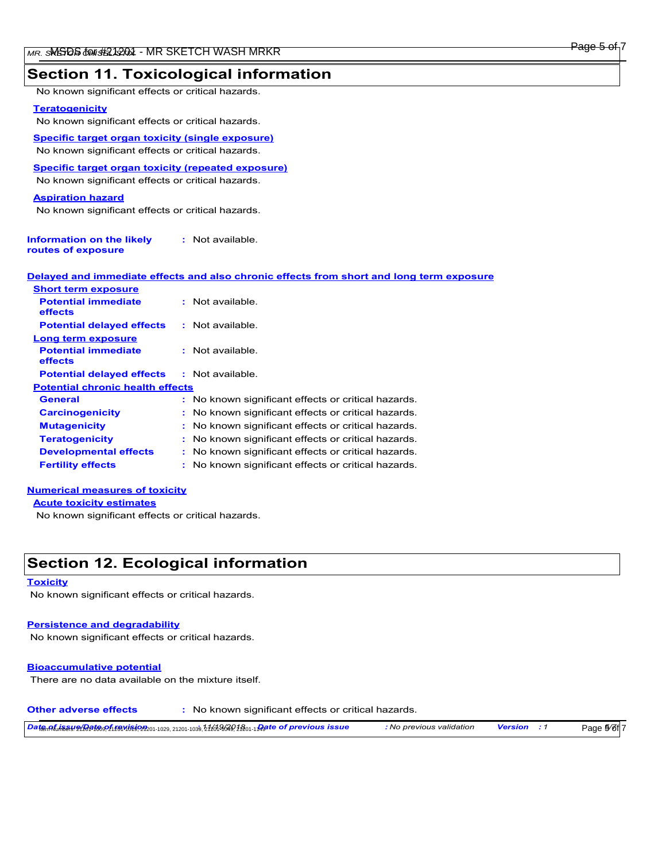## **Section 11. Toxicological information**

No known significant effects or critical hazards.

### **Teratogenicity**

No known significant effects or critical hazards.

**Specific target organ toxicity (single exposure)** No known significant effects or critical hazards.

**Specific target organ toxicity (repeated exposure)**

No known significant effects or critical hazards.

### **Aspiration hazard**

No known significant effects or critical hazards.

| Information on the likely | : Not available. |
|---------------------------|------------------|
| routes of exposure        |                  |

| <u>Delaved and immediate effects and also chronic effects from short and long term exposure </u> |  |  |  |
|--------------------------------------------------------------------------------------------------|--|--|--|
| <b>Short term exposure</b>                                                                       |  |  |  |

| <u>UNUR turin uadusuru</u>              |                                                     |  |  |  |
|-----------------------------------------|-----------------------------------------------------|--|--|--|
| <b>Potential immediate</b><br>effects   | : Not available.                                    |  |  |  |
| <b>Potential delayed effects</b>        | $:$ Not available.                                  |  |  |  |
| Long term exposure                      |                                                     |  |  |  |
| <b>Potential immediate</b><br>effects   | : Not available.                                    |  |  |  |
| <b>Potential delayed effects</b>        | $:$ Not available.                                  |  |  |  |
| <b>Potential chronic health effects</b> |                                                     |  |  |  |
| General                                 | : No known significant effects or critical hazards. |  |  |  |
| <b>Carcinogenicity</b>                  | : No known significant effects or critical hazards. |  |  |  |
| <b>Mutagenicity</b>                     | : No known significant effects or critical hazards. |  |  |  |
| <b>Teratogenicity</b>                   | : No known significant effects or critical hazards. |  |  |  |
| <b>Developmental effects</b>            | : No known significant effects or critical hazards. |  |  |  |
| <b>Fertility effects</b>                | : No known significant effects or critical hazards. |  |  |  |
|                                         |                                                     |  |  |  |

### **Numerical measures of toxicity**

**Acute toxicity estimates**

No known significant effects or critical hazards.

# **Section 12. Ecological information**

#### **Toxicity**

No known significant effects or critical hazards.

#### **Persistence and degradability**

No known significant effects or critical hazards.

#### **Bioaccumulative potential**

There are no data available on the mixture itself.

**Other adverse effects :** No known significant effects or critical hazards.

*Date of issue/Date of revision* Item Numbers: 21201-1009, 21201-1019, 21201-1029, 21201-1039, 21201-1049, 21201-1149 **:** *11/19/2018 Date of previous issue : No previous validation Version : 1*

Page 5<sup>/</sup>6f<sup>7</sup>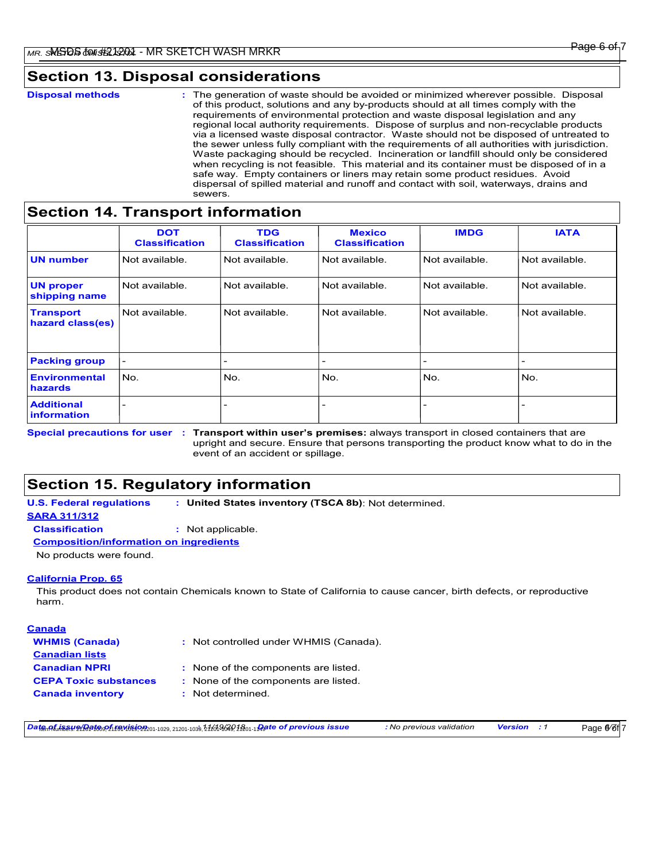# **Section 13. Disposal considerations**

The generation of waste should be avoided or minimized wherever possible. Disposal of this product, solutions and any by-products should at all times comply with the requirements of environmental protection and waste disposal legislation and any regional local authority requirements. Dispose of surplus and non-recyclable products via a licensed waste disposal contractor. Waste should not be disposed of untreated to the sewer unless fully compliant with the requirements of all authorities with jurisdiction. Waste packaging should be recycled. Incineration or landfill should only be considered when recycling is not feasible. This material and its container must be disposed of in a safe way. Empty containers or liners may retain some product residues. Avoid dispersal of spilled material and runoff and contact with soil, waterways, drains and sewers. **Disposal methods :**

# **Section 14. Transport information**

|                                         | <b>DOT</b><br><b>Classification</b> | <b>TDG</b><br><b>Classification</b> | <b>Mexico</b><br><b>Classification</b> | <b>IMDG</b>    | <b>IATA</b>    |
|-----------------------------------------|-------------------------------------|-------------------------------------|----------------------------------------|----------------|----------------|
| <b>UN number</b>                        | Not available.                      | Not available.                      | Not available.                         | Not available. | Not available. |
| <b>UN proper</b><br>shipping name       | Not available.                      | Not available.                      | Not available.                         | Not available. | Not available. |
| <b>Transport</b><br>hazard class(es)    | Not available.                      | Not available.                      | Not available.                         | Not available. | Not available. |
| <b>Packing group</b>                    | $\qquad \qquad$                     | $\overline{\phantom{0}}$            | $\overline{\phantom{0}}$               |                |                |
| <b>Environmental</b><br>hazards         | No.                                 | No.                                 | No.                                    | No.            | No.            |
| <b>Additional</b><br><i>information</i> |                                     | -                                   | $\overline{\phantom{0}}$               |                |                |

Special precautions for user : Transport within user's premises: always transport in closed containers that are upright and secure. Ensure that persons transporting the product know what to do in the event of an accident or spillage.

# **Section 15. Regulatory information**

**U.S. Federal regulations : United States inventory (TSCA 8b)**: Not determined.

**SARA 311/312**

**Classification :** Not applicable.

**Composition/information on ingredients**

No products were found.

### **California Prop. 65**

This product does not contain Chemicals known to State of California to cause cancer, birth defects, or reproductive harm.

## **Canada WHMIS (Canada) Canadian lists Canadian NPRI CEPA Toxic substances :**

Not controlled under WHMIS (Canada). **:**

- None of the components are listed. **:**
- : None of the components are listed.
- **Canada inventory :** Not determined.

Date MinsungBat®ዎฏโช๊ดฟเหิง่ใจ 2 ละ 1029, 21201-1039, 21201-1039, 21201-1089, 2120-108 pare of previous issue : No previous validation Version : 1

Page <sup>6</sup>/6f 7